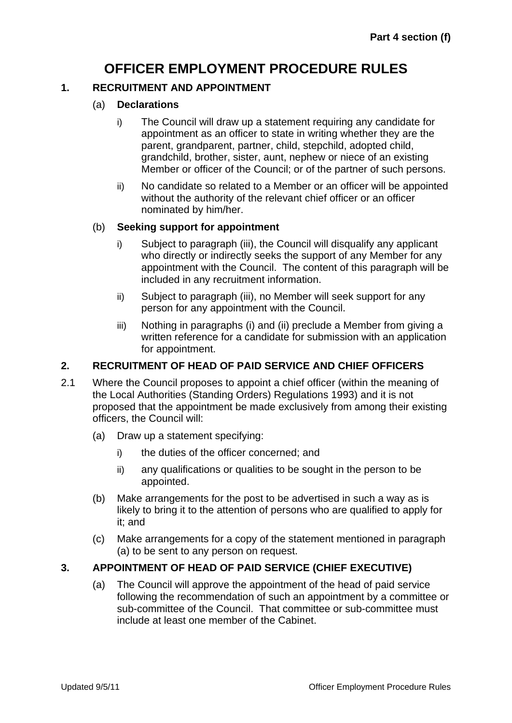# **OFFICER EMPLOYMENT PROCEDURE RULES**

## **1. RECRUITMENT AND APPOINTMENT**

## (a) **Declarations**

- i) The Council will draw up a statement requiring any candidate for appointment as an officer to state in writing whether they are the parent, grandparent, partner, child, stepchild, adopted child, grandchild, brother, sister, aunt, nephew or niece of an existing Member or officer of the Council; or of the partner of such persons.
- ii) No candidate so related to a Member or an officer will be appointed without the authority of the relevant chief officer or an officer nominated by him/her.

## (b) **Seeking support for appointment**

- i) Subject to paragraph (iii), the Council will disqualify any applicant who directly or indirectly seeks the support of any Member for any appointment with the Council. The content of this paragraph will be included in any recruitment information.
- ii) Subject to paragraph (iii), no Member will seek support for any person for any appointment with the Council.
- iii) Nothing in paragraphs (i) and (ii) preclude a Member from giving a written reference for a candidate for submission with an application for appointment.

# **2. RECRUITMENT OF HEAD OF PAID SERVICE AND CHIEF OFFICERS**

- 2.1 Where the Council proposes to appoint a chief officer (within the meaning of the Local Authorities (Standing Orders) Regulations 1993) and it is not proposed that the appointment be made exclusively from among their existing officers, the Council will:
	- (a) Draw up a statement specifying:
		- i) the duties of the officer concerned; and
		- ii) any qualifications or qualities to be sought in the person to be appointed.
	- (b) Make arrangements for the post to be advertised in such a way as is likely to bring it to the attention of persons who are qualified to apply for it; and
	- (c) Make arrangements for a copy of the statement mentioned in paragraph (a) to be sent to any person on request.

# **3. APPOINTMENT OF HEAD OF PAID SERVICE (CHIEF EXECUTIVE)**

(a) The Council will approve the appointment of the head of paid service following the recommendation of such an appointment by a committee or sub-committee of the Council. That committee or sub-committee must include at least one member of the Cabinet.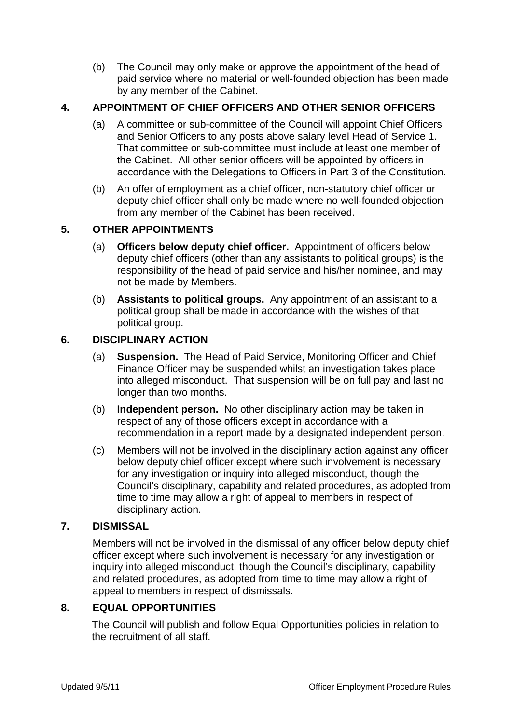(b) The Council may only make or approve the appointment of the head of paid service where no material or well-founded objection has been made by any member of the Cabinet.

# **4. APPOINTMENT OF CHIEF OFFICERS AND OTHER SENIOR OFFICERS**

- (a) A committee or sub-committee of the Council will appoint Chief Officers and Senior Officers to any posts above salary level Head of Service 1. That committee or sub-committee must include at least one member of the Cabinet. All other senior officers will be appointed by officers in accordance with the Delegations to Officers in Part 3 of the Constitution.
- (b) An offer of employment as a chief officer, non-statutory chief officer or deputy chief officer shall only be made where no well-founded objection from any member of the Cabinet has been received.

# **5. OTHER APPOINTMENTS**

- (a) **Officers below deputy chief officer.** Appointment of officers below deputy chief officers (other than any assistants to political groups) is the responsibility of the head of paid service and his/her nominee, and may not be made by Members.
- (b) **Assistants to political groups.** Any appointment of an assistant to a political group shall be made in accordance with the wishes of that political group.

## **6. DISCIPLINARY ACTION**

- (a) **Suspension.** The Head of Paid Service, Monitoring Officer and Chief Finance Officer may be suspended whilst an investigation takes place into alleged misconduct. That suspension will be on full pay and last no longer than two months.
- (b) **Independent person.** No other disciplinary action may be taken in respect of any of those officers except in accordance with a recommendation in a report made by a designated independent person.
- (c) Members will not be involved in the disciplinary action against any officer below deputy chief officer except where such involvement is necessary for any investigation or inquiry into alleged misconduct, though the Council's disciplinary, capability and related procedures, as adopted from time to time may allow a right of appeal to members in respect of disciplinary action.

# **7. DISMISSAL**

Members will not be involved in the dismissal of any officer below deputy chief officer except where such involvement is necessary for any investigation or inquiry into alleged misconduct, though the Council's disciplinary, capability and related procedures, as adopted from time to time may allow a right of appeal to members in respect of dismissals.

# **8. EQUAL OPPORTUNITIES**

The Council will publish and follow Equal Opportunities policies in relation to the recruitment of all staff.